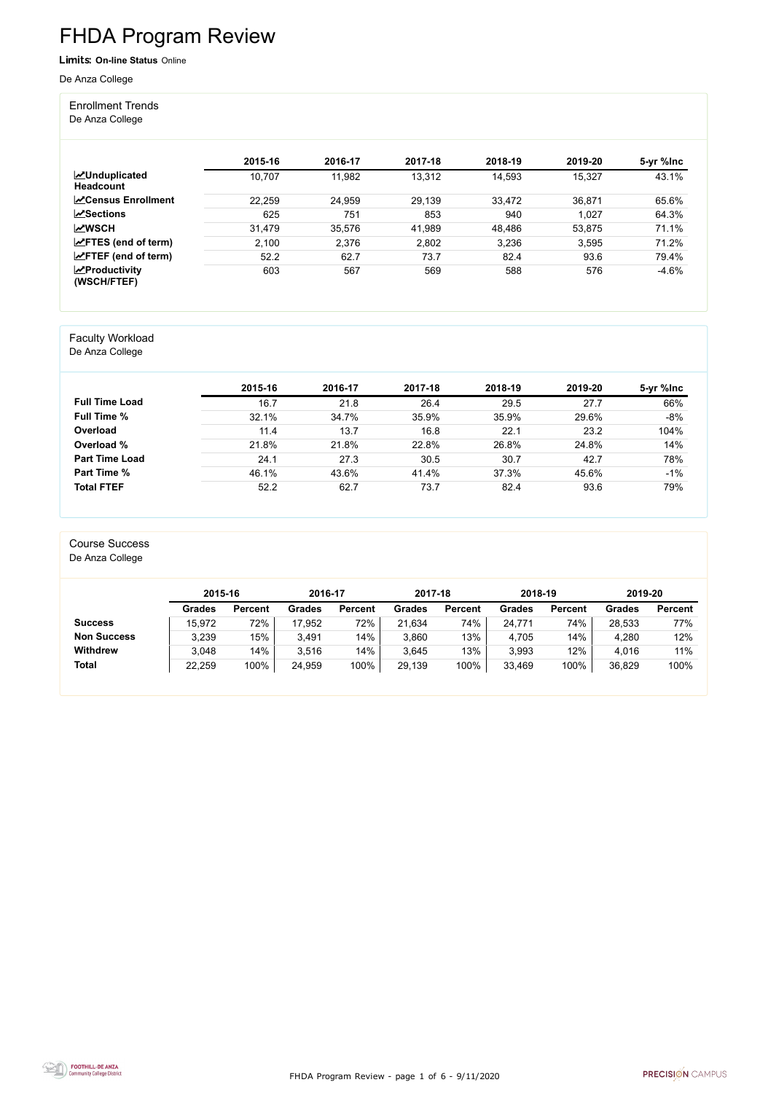FHDA Program Review - page 1 of 6 - 9/11/2020



# FHDA Program Review

Limits: **On-line Status** Online

De Anza College

#### Enrollment Trends

De Anza College

|                                          | 2015-16 | 2016-17 | 2017-18 | 2018-19 | 2019-20 | 5-yr %lnc |
|------------------------------------------|---------|---------|---------|---------|---------|-----------|
| <b>MUnduplicated</b><br><b>Headcount</b> | 10,707  | 11,982  | 13,312  | 14,593  | 15,327  | 43.1%     |
| <b>N</b> Census Enrollment               | 22,259  | 24,959  | 29,139  | 33,472  | 36,871  | 65.6%     |
| $\sqrt{S}$ ections                       | 625     | 751     | 853     | 940     | 1,027   | 64.3%     |
| <b>MWSCH</b>                             | 31,479  | 35,576  | 41,989  | 48,486  | 53,875  | 71.1%     |
| $\angle$ FTES (end of term)              | 2,100   | 2,376   | 2,802   | 3,236   | 3,595   | 71.2%     |
| $\angle$ FTEF (end of term)              | 52.2    | 62.7    | 73.7    | 82.4    | 93.6    | 79.4%     |
| $\mathbf{z}$ Productivity<br>(WSCH/FTEF) | 603     | 567     | 569     | 588     | 576     | $-4.6%$   |

#### Faculty Workload

De Anza College

|                       | 2015-16 | 2016-17 | 2017-18 | 2018-19 | 2019-20 | 5-yr %lnc |
|-----------------------|---------|---------|---------|---------|---------|-----------|
| <b>Full Time Load</b> | 16.7    | 21.8    | 26.4    | 29.5    | 27.7    | 66%       |
| <b>Full Time %</b>    | 32.1%   | 34.7%   | 35.9%   | 35.9%   | 29.6%   | $-8%$     |
| Overload              | 11.4    | 13.7    | 16.8    | 22.1    | 23.2    | 104%      |
| Overload %            | 21.8%   | 21.8%   | 22.8%   | 26.8%   | 24.8%   | 14%       |
| <b>Part Time Load</b> | 24.1    | 27.3    | 30.5    | 30.7    | 42.7    | 78%       |
| <b>Part Time %</b>    | 46.1%   | 43.6%   | 41.4%   | 37.3%   | 45.6%   | $-1%$     |
| <b>Total FTEF</b>     | 52.2    | 62.7    | 73.7    | 82.4    | 93.6    | 79%       |

#### Course Success

De Anza College

|                    |        | 2015-16        |        | 2016-17        |        | 2017-18        | 2018-19       |                | 2019-20 |                |
|--------------------|--------|----------------|--------|----------------|--------|----------------|---------------|----------------|---------|----------------|
|                    | Grades | <b>Percent</b> | Grades | <b>Percent</b> | Grades | <b>Percent</b> | <b>Grades</b> | <b>Percent</b> | Grades  | <b>Percent</b> |
| <b>Success</b>     | 15,972 | 72%            | 17,952 | 72%            | 21,634 | 74%            | 24,771        | 74%            | 28,533  | 77%            |
| <b>Non Success</b> | 3,239  | 15%            | 3,491  | 14%            | 3,860  | 13%            | 4,705         | 14%            | 4,280   | 12%            |
| <b>Withdrew</b>    | 3,048  | 14%            | 3,516  | 14%            | 3,645  | 13%            | 3,993         | 12%            | 4,016   | 11%            |
| <b>Total</b>       | 22,259 | 100%           | 24,959 | 100%           | 29,139 | 100%           | 33,469        | 100%           | 36,829  | 100%           |

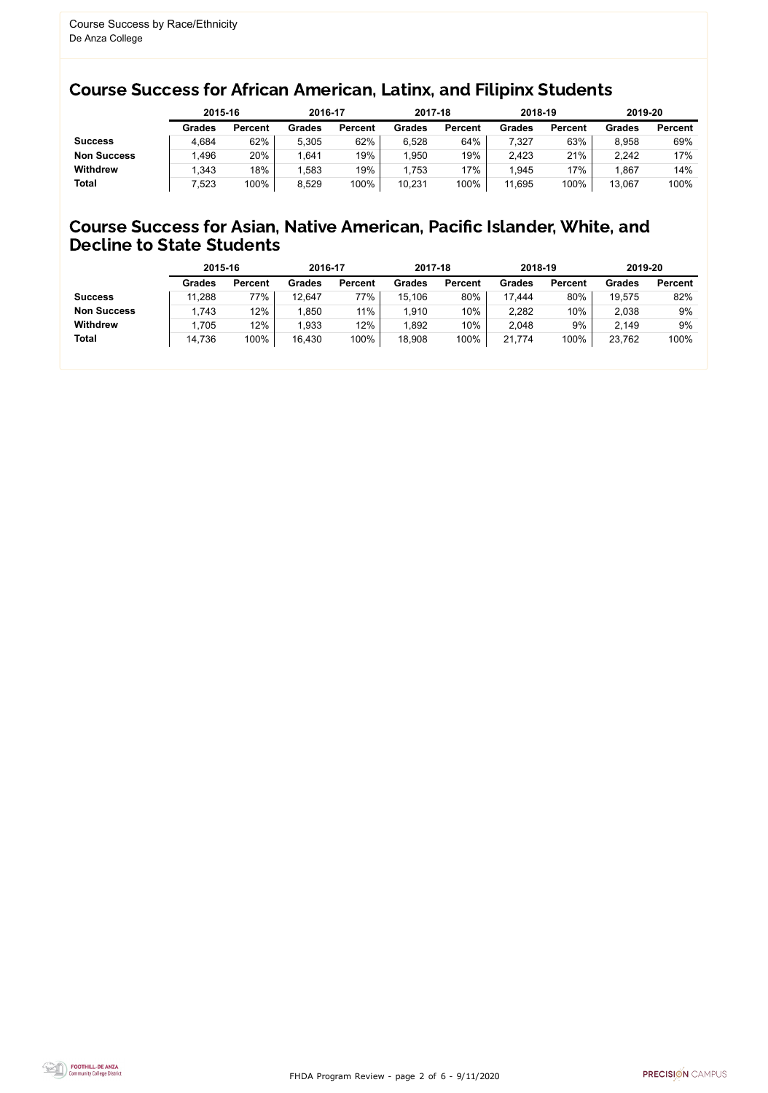FHDA Program Review - page 2 of 6 - 9/11/2020



### Course Success for African American, Latinx, and Filipinx Students

#### Course Success for Asian, Native American, Pacific Islander, White, and Decline to State Students

|                    |               | 2015-16        |               | 2016-17        |               | 2017-18        | 2018-19       |                | 2019-20       |                |
|--------------------|---------------|----------------|---------------|----------------|---------------|----------------|---------------|----------------|---------------|----------------|
|                    | <b>Grades</b> | <b>Percent</b> | <b>Grades</b> | <b>Percent</b> | <b>Grades</b> | <b>Percent</b> | <b>Grades</b> | <b>Percent</b> | <b>Grades</b> | <b>Percent</b> |
| <b>Success</b>     | 4,684         | 62%            | 5,305         | 62%            | 6,528         | 64%            | 7,327         | 63%            | 8,958         | 69%            |
| <b>Non Success</b> | .496          | 20%            | ,641          | 19%            | 1,950         | 19%            | 2,423         | 21%            | 2,242         | 17%            |
| <b>Withdrew</b>    | .343          | 18%            | ,583          | 19%            | 1,753         | 17%            | .945          | 17%            | .867          | 14%            |
| <b>Total</b>       | ,523          | 100%           | 8,529         | 100%           | 10,231        | 100%           | 11,695        | 100%           | 13,067        | 100%           |

|                    | 2015-16       |                | 2016-17       |                | 2017-18       |                | 2018-19       |                | 2019-20       |                |
|--------------------|---------------|----------------|---------------|----------------|---------------|----------------|---------------|----------------|---------------|----------------|
|                    | <b>Grades</b> | <b>Percent</b> | <b>Grades</b> | <b>Percent</b> | <b>Grades</b> | <b>Percent</b> | <b>Grades</b> | <b>Percent</b> | <b>Grades</b> | <b>Percent</b> |
| <b>Success</b>     | 11,288        | 77%            | 12,647        | 77%            | 15,106        | 80%            | 17,444        | 80%            | 19,575        | 82%            |
| <b>Non Success</b> | 1,743         | 12%            | 1,850         | $11\%$         | 1,910         | 10%            | 2,282         | 10%            | 2,038         | 9%             |
| <b>Withdrew</b>    | 1,705         | 12%            | 1,933         | 12%            | 1,892         | 10%            | 2,048         | 9%             | 2,149         | 9%             |
| <b>Total</b>       | 14,736        | 100%           | 16,430        | 100%           | 18,908        | 100%           | 21,774        | 100%           | 23,762        | 100%           |
|                    |               |                |               |                |               |                |               |                |               |                |

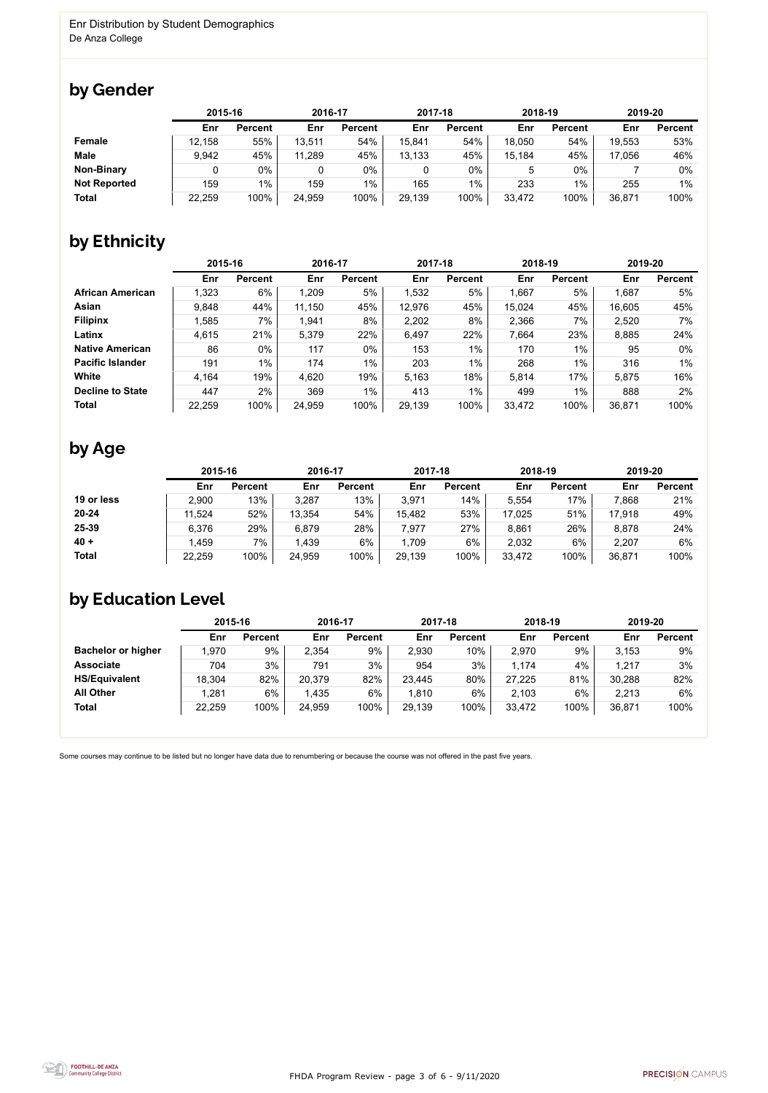FHDA Program Review - page 3 of 6 - 9/11/2020



Some courses may continue to be listed but no longer have data due to renumbering or because the course was not offered in the past five years.



### by Gender

|                     | 2015-16 |                | 2016-17 |                | 2017-18 |                | 2018-19 |                | 2019-20 |                |
|---------------------|---------|----------------|---------|----------------|---------|----------------|---------|----------------|---------|----------------|
|                     | Enr     | <b>Percent</b> | Enr     | <b>Percent</b> | Enr     | <b>Percent</b> | Enr     | <b>Percent</b> | Enr     | <b>Percent</b> |
| <b>Female</b>       | 12,158  | 55%            | 13,511  | 54%            | 15,841  | 54%            | 18,050  | 54%            | 19,553  | 53%            |
| <b>Male</b>         | 9,942   | 45%            | 11,289  | 45%            | 13,133  | 45%            | 15,184  | 45%            | 17,056  | 46%            |
| <b>Non-Binary</b>   |         | $0\%$          | 0       | 0%             | 0       | 0%             | 5       | $0\%$          |         | $0\%$          |
| <b>Not Reported</b> | 159     | $1\%$          | 159     | $1\%$          | 165     | $1\%$          | 233     | $1\%$          | 255     | 1%             |
| <b>Total</b>        | 22,259  | 100%           | 24,959  | 100%           | 29,139  | 100%           | 33,472  | 100%           | 36,871  | 100%           |

## by Ethnicity

|                         |        | 2015-16        |        | 2016-17        |        | 2017-18        | 2018-19 |                | 2019-20 |                |
|-------------------------|--------|----------------|--------|----------------|--------|----------------|---------|----------------|---------|----------------|
|                         | Enr    | <b>Percent</b> | Enr    | <b>Percent</b> | Enr    | <b>Percent</b> | Enr     | <b>Percent</b> | Enr     | <b>Percent</b> |
| <b>African American</b> | 1,323  | 6%             | 1,209  | 5%             | 1,532  | 5%             | 1,667   | 5%             | 1,687   | 5%             |
| Asian                   | 9,848  | 44%            | 11,150 | 45%            | 12,976 | 45%            | 15,024  | 45%            | 16,605  | 45%            |
| <b>Filipinx</b>         | ,585   | 7%             | 1,941  | 8%             | 2,202  | 8%             | 2,366   | 7%             | 2,520   | 7%             |
| Latinx                  | 4,615  | 21%            | 5,379  | 22%            | 6,497  | 22%            | 7,664   | 23%            | 8,885   | 24%            |
| <b>Native American</b>  | 86     | $0\%$          | 117    | 0%             | 153    | $1\%$          | 170     | 1%             | 95      | 0%             |
| <b>Pacific Islander</b> | 191    | $1\%$          | 174    | $1\%$          | 203    | $1\%$          | 268     | 1%             | 316     | $1\%$          |
| White                   | 4,164  | 19%            | 4,620  | 19%            | 5,163  | 18%            | 5,814   | 17%            | 5,875   | 16%            |
| <b>Decline to State</b> | 447    | 2%             | 369    | $1\%$          | 413    | $1\%$          | 499     | $1\%$          | 888     | 2%             |
| <b>Total</b>            | 22,259 | 100%           | 24,959 | 100%           | 29,139 | 100%           | 33,472  | 100%           | 36,871  | 100%           |

### by Age

|              | 2015-16 |                | 2016-17 |                | 2017-18 |                | 2018-19 |                | 2019-20 |                |
|--------------|---------|----------------|---------|----------------|---------|----------------|---------|----------------|---------|----------------|
|              | Enr     | <b>Percent</b> | Enr     | <b>Percent</b> | Enr     | <b>Percent</b> | Enr     | <b>Percent</b> | Enr     | <b>Percent</b> |
| 19 or less   | 2,900   | 13%            | 3,287   | 13%            | 3,971   | 14%            | 5,554   | 17%            | 7,868   | 21%            |
| $20 - 24$    | 11,524  | 52%            | 13,354  | 54%            | 15,482  | 53%            | 17,025  | 51%            | 17,918  | 49%            |
| 25-39        | 6,376   | 29%            | 6,879   | 28%            | 7,977   | 27%            | 8,861   | 26%            | 8,878   | 24%            |
| $40 +$       | 1,459   | 7%             | 1,439   | 6%             | 1,709   | 6%             | 2,032   | 6%             | 2,207   | 6%             |
| <b>Total</b> | 22,259  | 100%           | 24,959  | 100%           | 29,139  | 100%           | 33,472  | 100%           | 36,871  | 100%           |

### by Education Level

|                           | 2015-16 |                | 2016-17 |                | 2017-18 |                | 2018-19 |                | 2019-20 |                |
|---------------------------|---------|----------------|---------|----------------|---------|----------------|---------|----------------|---------|----------------|
|                           | Enr     | <b>Percent</b> | Enr     | <b>Percent</b> | Enr     | <b>Percent</b> | Enr     | <b>Percent</b> | Enr     | <b>Percent</b> |
| <b>Bachelor or higher</b> | 1,970   | 9%             | 2,354   | 9%             | 2,930   | 10%            | 2,970   | 9%             | 3.153   | 9%             |
| <b>Associate</b>          | 704     | 3%             | 791     | 3%             | 954     | 3%             | 1,174   | 4%             | 1,217   | 3%             |
| <b>HS/Equivalent</b>      | 18,304  | 82%            | 20,379  | 82%            | 23,445  | 80%            | 27,225  | 81%            | 30,288  | 82%            |
| <b>All Other</b>          | 1,281   | 6%             | 1,435   | 6%             | 1,810   | 6%             | 2,103   | 6%             | 2,213   | 6%             |
| <b>Total</b>              | 22,259  | 100%           | 24,959  | 100%           | 29,139  | 100%           | 33,472  | 100%           | 36,871  | 100%           |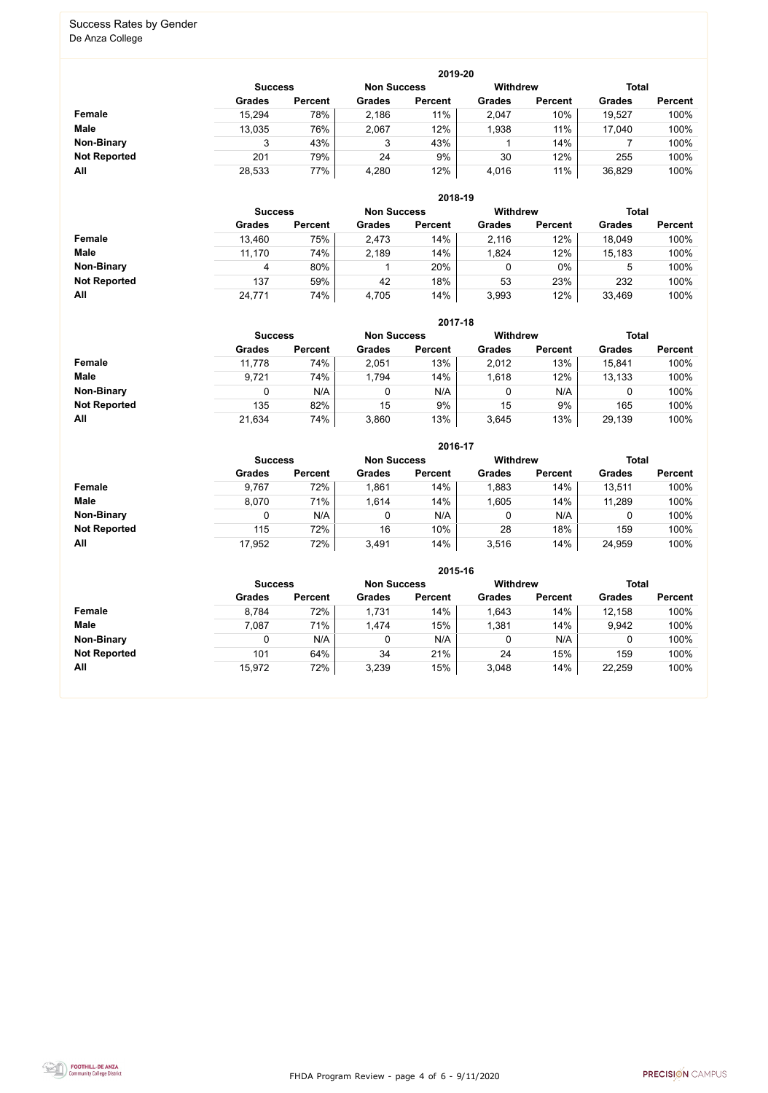FHDA Program Review - page 4 of 6 - 9/11/2020



#### Success Rates by Gender De Anza College

|                     |                | 2019-20        |                    |                |                 |                |               |                |  |  |  |  |  |  |
|---------------------|----------------|----------------|--------------------|----------------|-----------------|----------------|---------------|----------------|--|--|--|--|--|--|
|                     | <b>Success</b> |                | <b>Non Success</b> |                | <b>Withdrew</b> |                | <b>Total</b>  |                |  |  |  |  |  |  |
|                     | <b>Grades</b>  | <b>Percent</b> | <b>Grades</b>      | <b>Percent</b> | <b>Grades</b>   | <b>Percent</b> | <b>Grades</b> | <b>Percent</b> |  |  |  |  |  |  |
| Female              | 15,294         | 78%            | 2,186              | 11%            | 2,047           | 10%            | 19,527        | 100%           |  |  |  |  |  |  |
| <b>Male</b>         | 13,035         | 76%            | 2,067              | 12%            | 1,938           | 11%            | 17,040        | 100%           |  |  |  |  |  |  |
| <b>Non-Binary</b>   |                | 43%            | 3                  | 43%            |                 | 14%            |               | 100%           |  |  |  |  |  |  |
| <b>Not Reported</b> | 201            | 79%            | 24                 | 9%             | 30              | 12%            | 255           | 100%           |  |  |  |  |  |  |
| All                 | 28,533         | 77%            | 4,280              | 12%            | 4,016           | 11%            | 36,829        | 100%           |  |  |  |  |  |  |

|                     | 2018-19       |                                      |               |                |               |                |               |                |  |  |  |  |
|---------------------|---------------|--------------------------------------|---------------|----------------|---------------|----------------|---------------|----------------|--|--|--|--|
|                     |               | <b>Non Success</b><br><b>Success</b> |               |                |               |                | <b>Total</b>  |                |  |  |  |  |
|                     | <b>Grades</b> | <b>Percent</b>                       | <b>Grades</b> | <b>Percent</b> | <b>Grades</b> | <b>Percent</b> | <b>Grades</b> | <b>Percent</b> |  |  |  |  |
| <b>Female</b>       | 13,460        | 75%                                  | 2,473         | 14%            | 2,116         | 12%            | 18,049        | 100%           |  |  |  |  |
| <b>Male</b>         | 11,170        | 74%                                  | 2,189         | 14%            | 1,824         | 12%            | 15,183        | 100%           |  |  |  |  |
| <b>Non-Binary</b>   | 4             | 80%                                  |               | 20%            | 0             | $0\%$          | 5             | 100%           |  |  |  |  |
| <b>Not Reported</b> | 137           | 59%                                  | 42            | 18%            | 53            | 23%            | 232           | 100%           |  |  |  |  |
| All                 | 24,771        | 74%                                  | 4,705         | 14%            | 3,993         | 12%            | 33,469        | 100%           |  |  |  |  |

|                     |               | 2017-18                                                                 |               |                |               |                |               |                |  |  |  |  |  |
|---------------------|---------------|-------------------------------------------------------------------------|---------------|----------------|---------------|----------------|---------------|----------------|--|--|--|--|--|
|                     |               | <b>Withdrew</b><br><b>Total</b><br><b>Non Success</b><br><b>Success</b> |               |                |               |                |               |                |  |  |  |  |  |
|                     | <b>Grades</b> | <b>Percent</b>                                                          | <b>Grades</b> | <b>Percent</b> | <b>Grades</b> | <b>Percent</b> | <b>Grades</b> | <b>Percent</b> |  |  |  |  |  |
| Female              | 11,778        | 74%                                                                     | 2,051         | 13%            | 2,012         | 13%            | 15,841        | 100%           |  |  |  |  |  |
| <b>Male</b>         | 9,721         | 74%                                                                     | 1,794         | 14%            | 1,618         | 12%            | 13,133        | 100%           |  |  |  |  |  |
| <b>Non-Binary</b>   | 0             | N/A                                                                     |               | N/A            | 0             | N/A            | 0             | 100%           |  |  |  |  |  |
| <b>Not Reported</b> | 135           | 82%                                                                     | 15            | 9%             | 15            | 9%             | 165           | 100%           |  |  |  |  |  |
| All                 | 21,634        | 74%                                                                     | 3,860         | 13%            | 3,645         | 13%            | 29,139        | 100%           |  |  |  |  |  |

|                     |                |                |                    | 2016-17        |               |                                 |               |                |
|---------------------|----------------|----------------|--------------------|----------------|---------------|---------------------------------|---------------|----------------|
|                     | <b>Success</b> |                | <b>Non Success</b> |                |               | <b>Total</b><br><b>Withdrew</b> |               |                |
|                     | <b>Grades</b>  | <b>Percent</b> | <b>Grades</b>      | <b>Percent</b> | <b>Grades</b> | <b>Percent</b>                  | <b>Grades</b> | <b>Percent</b> |
| <b>Female</b>       | 9,767          | 72%            | 1,861              | 14%            | 1,883         | 14%                             | 13,511        | 100%           |
| <b>Male</b>         | 8,070          | 71%            | 1,614              | 14%            | 1,605         | 14%                             | 11,289        | 100%           |
| <b>Non-Binary</b>   | 0              | N/A            |                    | N/A            | 0             | N/A                             | 0             | 100%           |
| <b>Not Reported</b> | 115            | 72%            | 16                 | 10%            | 28            | 18%                             | 159           | 100%           |
| All                 | 17,952         | 72%            | 3,491              | 14%            | 3,516         | 14%                             | 24,959        | 100%           |

|                     |                | 2015-16        |                    |                |                 |                |               |                |  |  |
|---------------------|----------------|----------------|--------------------|----------------|-----------------|----------------|---------------|----------------|--|--|
|                     | <b>Success</b> |                | <b>Non Success</b> |                | <b>Withdrew</b> |                | <b>Total</b>  |                |  |  |
|                     | <b>Grades</b>  | <b>Percent</b> | <b>Grades</b>      | <b>Percent</b> | <b>Grades</b>   | <b>Percent</b> | <b>Grades</b> | <b>Percent</b> |  |  |
| Female              | 8,784          | 72%            | 1,731              | 14%            | 1,643           | 14%            | 12,158        | 100%           |  |  |
| <b>Male</b>         | 7,087          | 71%            | 1,474              | 15%            | 1,381           | 14%            | 9,942         | 100%           |  |  |
| <b>Non-Binary</b>   |                | N/A            | 0                  | N/A            |                 | N/A            | ν             | 100%           |  |  |
| <b>Not Reported</b> | 101            | 64%            | 34                 | 21%            | 24              | 15%            | 159           | 100%           |  |  |
| All                 | 15,972         | 72%            | 3,239              | 15%            | 3,048           | 14%            | 22,259        | 100%           |  |  |

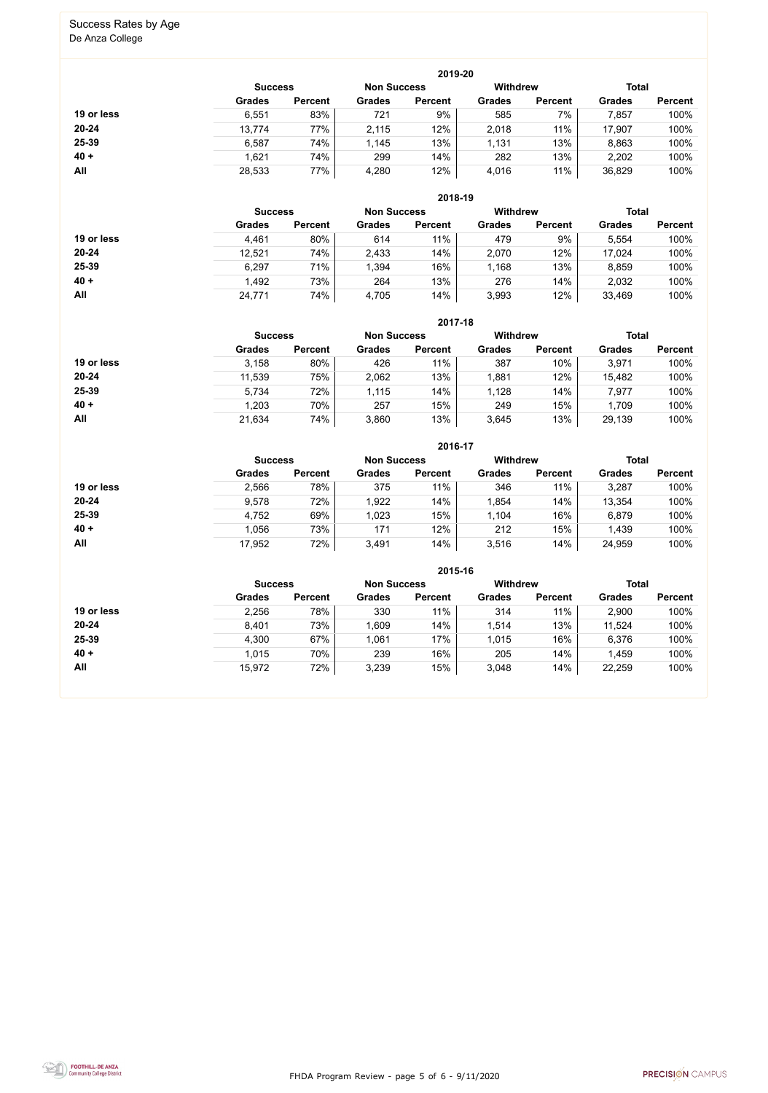FHDA Program Review - page 5 of 6 - 9/11/2020



# Success Rates by Age

De Anza College

|            |               |                |               | 2019-20            |                 |                |               |                |  |
|------------|---------------|----------------|---------------|--------------------|-----------------|----------------|---------------|----------------|--|
|            |               | <b>Success</b> |               | <b>Non Success</b> | <b>Withdrew</b> |                |               | <b>Total</b>   |  |
|            | <b>Grades</b> | <b>Percent</b> | <b>Grades</b> | <b>Percent</b>     | <b>Grades</b>   | <b>Percent</b> | <b>Grades</b> | <b>Percent</b> |  |
| 19 or less | 6,551         | 83%            | 721           | 9%                 | 585             | 7%             | 7,857         | 100%           |  |
| $20 - 24$  | 13,774        | 77%            | 2,115         | 12%                | 2,018           | 11%            | 17,907        | 100%           |  |
| 25-39      | 6,587         | 74%            | 1,145         | 13%                | 1,131           | 13%            | 8,863         | 100%           |  |
| $40 +$     | 1,621         | 74%            | 299           | 14%                | 282             | 13%            | 2,202         | 100%           |  |
| All        | 28,533        | 77%            | 4,280         | 12%                | 4,016           | 11%            | 36,829        | 100%           |  |

|            |               |                |               | 2018-19            |                 |                |               |                |  |
|------------|---------------|----------------|---------------|--------------------|-----------------|----------------|---------------|----------------|--|
|            |               | <b>Success</b> |               | <b>Non Success</b> | <b>Withdrew</b> |                |               | <b>Total</b>   |  |
|            | <b>Grades</b> | <b>Percent</b> | <b>Grades</b> | <b>Percent</b>     | <b>Grades</b>   | <b>Percent</b> | <b>Grades</b> | <b>Percent</b> |  |
| 19 or less | 4,461         | 80%            | 614           | 11%                | 479             | 9%             | 5,554         | 100%           |  |
| $20 - 24$  | 12,521        | 74%            | 2,433         | 14%                | 2,070           | 12%            | 17,024        | 100%           |  |
| 25-39      | 6,297         | 71%            | 1,394         | 16%                | 1,168           | 13%            | 8,859         | 100%           |  |
| $40 +$     | 1,492         | 73%            | 264           | 13%                | 276             | 14%            | 2,032         | 100%           |  |
| All        | 24,771        | 74%            | 4,705         | 14%                | 3,993           | 12%            | 33,469        | 100%           |  |

|            |                |                |                    | 2017-18        |                 |                |               |                |
|------------|----------------|----------------|--------------------|----------------|-----------------|----------------|---------------|----------------|
|            | <b>Success</b> |                | <b>Non Success</b> |                | <b>Withdrew</b> |                | <b>Total</b>  |                |
|            | <b>Grades</b>  | <b>Percent</b> | <b>Grades</b>      | <b>Percent</b> | <b>Grades</b>   | <b>Percent</b> | <b>Grades</b> | <b>Percent</b> |
| 19 or less | 3,158          | 80%            | 426                | 11%            | 387             | 10%            | 3,971         | 100%           |
| $20 - 24$  | 11,539         | 75%            | 2,062              | 13%            | 1,881           | 12%            | 15,482        | 100%           |
| 25-39      | 5,734          | 72%            | 1,115              | 14%            | 1,128           | 14%            | 7,977         | 100%           |
| $40 +$     | 1,203          | 70%            | 257                | 15%            | 249             | 15%            | 1,709         | 100%           |
| All        | 21,634         | 74%            | 3,860              | 13%            | 3,645           | 13%            | 29,139        | 100%           |

|            |                |                |                    | 2016-17        |                 |                |               |                |
|------------|----------------|----------------|--------------------|----------------|-----------------|----------------|---------------|----------------|
|            | <b>Success</b> |                | <b>Non Success</b> |                | <b>Withdrew</b> |                | <b>Total</b>  |                |
|            | <b>Grades</b>  | <b>Percent</b> | <b>Grades</b>      | <b>Percent</b> | <b>Grades</b>   | <b>Percent</b> | <b>Grades</b> | <b>Percent</b> |
| 19 or less | 2,566          | 78%            | 375                | 11%            | 346             | 11%            | 3,287         | 100%           |
| $20 - 24$  | 9,578          | 72%            | 1,922              | 14%            | 1,854           | 14%            | 13,354        | 100%           |
| 25-39      | 4,752          | 69%            | 1,023              | 15%            | 1,104           | 16%            | 6,879         | 100%           |
| $40 +$     | 1,056          | 73%            | 171                | 12%            | 212             | 15%            | 1,439         | 100%           |
| All        | 17,952         | 72%            | 3,491              | 14%            | 3,516           | 14%            | 24,959        | 100%           |

|            |                |                |                    | 2015-16        |                 |                |               |                |
|------------|----------------|----------------|--------------------|----------------|-----------------|----------------|---------------|----------------|
|            | <b>Success</b> |                | <b>Non Success</b> |                | <b>Withdrew</b> |                | <b>Total</b>  |                |
|            | <b>Grades</b>  | <b>Percent</b> | <b>Grades</b>      | <b>Percent</b> | <b>Grades</b>   | <b>Percent</b> | <b>Grades</b> | <b>Percent</b> |
| 19 or less | 2,256          | 78%            | 330                | 11%            | 314             | 11%            | 2,900         | 100%           |
| $20 - 24$  | 8,401          | 73%            | 1,609              | 14%            | 1,514           | 13%            | 11,524        | 100%           |
| 25-39      | 4,300          | 67%            | 1,061              | 17%            | 1,015           | 16%            | 6,376         | 100%           |
| $40 +$     | 1,015          | 70%            | 239                | 16%            | 205             | 14%            | 1,459         | 100%           |
| All        | 15,972         | 72%            | 3,239              | 15%            | 3,048           | 14%            | 22,259        | 100%           |